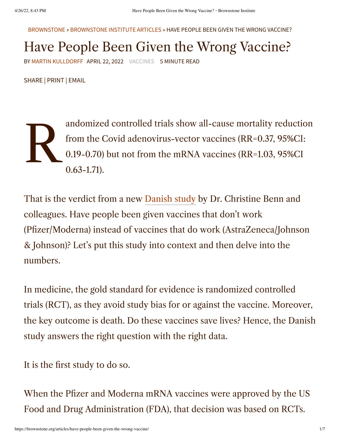[BROWNSTONE](https://brownstone.org/) » [BROWNSTONE](https://brownstone.org/articles/) INSTITUTE ARTICLES » HAVE PEOPLE BEEN GIVEN THE WRONG VACCINE?

## Have People Been Given the Wrong Vaccine?

BY MARTIN [KULLDORFF](https://brownstone.org/author/martin-kulldorff/) APRIL 22, 2022 [VACCINES](https://brownstone.org/tag/vaccines/) 5 MINUTE READ

SHARE | PRINT | EMAIL

 $\sum_{\substack{f_1\\ 0.}}$ andomized controlled trials show all-cause mortality reduction from the Covid adenovirus-vector vaccines (RR=0.37, 95%CI: 0.19-0.70) but not from the mRNA vaccines (RR=1.03, 95%CI 0.63-1.71).

That is the verdict from a new [Danish](https://papers.ssrn.com/sol3/papers.cfm?abstract_id=4072489) study by Dr. Christine Benn and colleagues. Have people been given vaccines that don't work (Pfizer/Moderna) instead of vaccines that do work (AstraZeneca/Johnson & Johnson)? Let's put this study into context and then delve into the numbers.

In medicine, the gold standard for evidence is randomized controlled trials (RCT), as they avoid study bias for or against the vaccine. Moreover, the key outcome is death. Do these vaccines save lives? Hence, the Danish study answers the right question with the right data.

It is the first study to do so.

When the Pfizer and Moderna mRNA vaccines were approved by the US Food and Drug Administration (FDA), that decision was based on RCTs.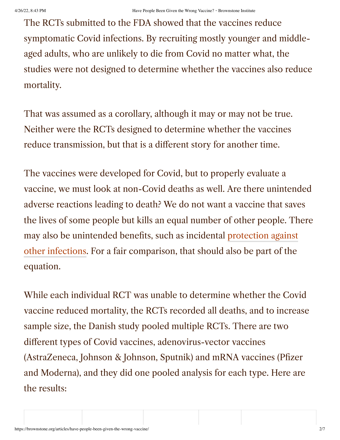The RCTs submitted to the FDA showed that the vaccines reduce symptomatic Covid infections. By recruiting mostly younger and middleaged adults, who are unlikely to die from Covid no matter what, the studies were not designed to determine whether the vaccines also reduce mortality.

That was assumed as a corollary, although it may or may not be true. Neither were the RCTs designed to determine whether the vaccines reduce transmission, but that is a different story for another time.

The vaccines were developed for Covid, but to properly evaluate a vaccine, we must look at non-Covid deaths as well. Are there unintended adverse reactions leading to death? We do not want a vaccine that saves the lives of some people but kills an equal number of other people. There may also be unintended benefits, such as [incidental protection](https://pubmed.ncbi.nlm.nih.gov/32645296/) against other infections. For a fair comparison, that should also be part of the equation.

While each individual RCT was unable to determine whether the Covid vaccine reduced mortality, the RCTs recorded all deaths, and to increase sample size, the Danish study pooled multiple RCTs. There are two different types of Covid vaccines, adenovirus-vector vaccines (AstraZeneca, Johnson & Johnson, Sputnik) and mRNA vaccines (Pfizer and Moderna), and they did one pooled analysis for each type. Here are the results: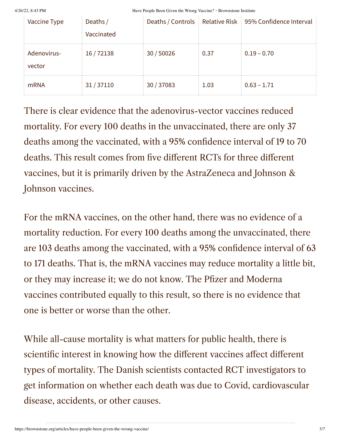4/26/22, 8:43 PM **Have People Been Given the Wrong Vaccine?**  $\cdot$  Brownstone Institute

| Vaccine Type          | Deaths/<br>Vaccinated | Deaths / Controls | <b>Relative Risk</b> | 95% Confidence Interval |
|-----------------------|-----------------------|-------------------|----------------------|-------------------------|
| Adenovirus-<br>vector | 16/72138              | 30/50026          | 0.37                 | $0.19 - 0.70$           |
| <b>mRNA</b>           | 31/37110              | 30 / 37083        | 1.03                 | $0.63 - 1.71$           |

There is clear evidence that the adenovirus-vector vaccines reduced mortality. For every 100 deaths in the unvaccinated, there are only 37 deaths among the vaccinated, with a 95% confidence interval of 19 to 70 deaths. This result comes from five different RCTs for three different vaccines, but it is primarily driven by the AstraZeneca and Johnson & Johnson vaccines.

For the mRNA vaccines, on the other hand, there was no evidence of a mortality reduction. For every 100 deaths among the unvaccinated, there are 103 deaths among the vaccinated, with a 95% confidence interval of 63 to 171 deaths. That is, the mRNA vaccines may reduce mortality a little bit, or they may increase it; we do not know. The Pfizer and Moderna vaccines contributed equally to this result, so there is no evidence that one is better or worse than the other.

While all-cause mortality is what matters for public health, there is scientific interest in knowing how the different vaccines affect different types of mortality. The Danish scientists contacted RCT investigators to get information on whether each death was due to Covid, cardiovascular disease, accidents, or other causes.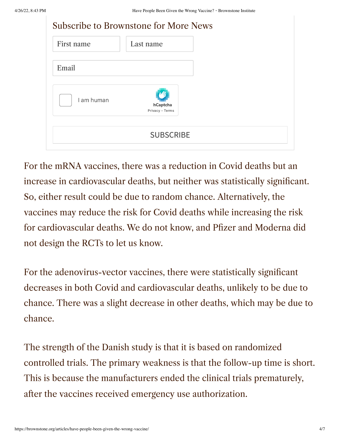| <b>Subscribe to Brownstone for More News</b> |                             |
|----------------------------------------------|-----------------------------|
| First name                                   | Last name                   |
| Email                                        |                             |
| I am human                                   | hCaptcha<br>Privacy - Terms |
|                                              | <b>SUBSCRIBE</b>            |

For the mRNA vaccines, there was a reduction in Covid deaths but an increase in cardiovascular deaths, but neither was statistically significant. So, either result could be due to random chance. Alternatively, the vaccines may reduce the risk for Covid deaths while increasing the risk for cardiovascular deaths. We do not know, and Pfizer and Moderna did not design the RCTs to let us know.

For the adenovirus-vector vaccines, there were statistically significant decreases in both Covid and cardiovascular deaths, unlikely to be due to chance. There was a slight decrease in other deaths, which may be due to chance.

The strength of the Danish study is that it is based on randomized controlled trials. The primary weakness is that the follow-up time is short. This is because the manufacturers ended the clinical trials prematurely, after the vaccines received emergency use authorization.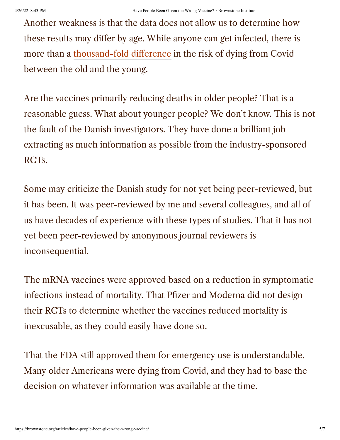Another weakness is that the data does not allow us to determine how these results may differ by age. While anyone can get infected, there is more than a [thousand-fold difference](https://www.linkedin.com/pulse/covid-19-counter-measures-should-age-specific-martin-kulldorff/) in the risk of dying from Covid between the old and the young.

Are the vaccines primarily reducing deaths in older people? That is a reasonable guess. What about younger people? We don't know. This is not the fault of the Danish investigators. They have done a brilliant job extracting as much information as possible from the industry-sponsored RCTs.

Some may criticize the Danish study for not yet being peer-reviewed, but it has been. It was peer-reviewed by me and several colleagues, and all of us have decades of experience with these types of studies. That it has not yet been peer-reviewed by anonymous journal reviewers is inconsequential.

The mRNA vaccines were approved based on a reduction in symptomatic infections instead of mortality. That Pfizer and Moderna did not design their RCTs to determine whether the vaccines reduced mortality is inexcusable, as they could easily have done so.

That the FDA still approved them for emergency use is understandable. Many older Americans were dying from Covid, and they had to base the decision on whatever information was available at the time.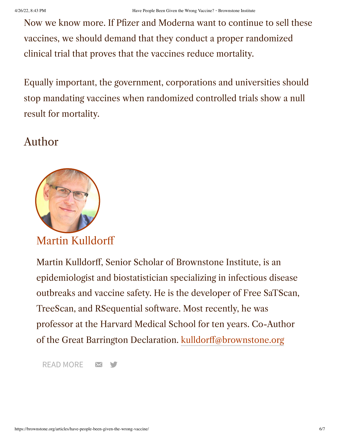Now we know more. If Pfizer and Moderna want to continue to sell these vaccines, we should demand that they conduct a proper randomized clinical trial that proves that the vaccines reduce mortality.

Equally important, the government, corporations and universities should stop mandating vaccines when randomized controlled trials show a null result for mortality.

## Author



[Martin Kulldorff](https://brownstone.org/author/martin-kulldorff/)

Martin Kulldorff, Senior Scholar of Brownstone Institute, is an epidemiologist and biostatistician specializing in infectious disease outbreaks and vaccine safety. He is the developer of Free SaTScan, TreeScan, and RSequential software. Most recently, he was professor at the Harvard Medical School for ten years. Co-Author of the Great Barrington Declaration. [kulldorff@brownstone.org](mailto:kulldorff@brownstone.org)

[READ MORE](https://brownstone.org/author/martin-kulldorff/) X